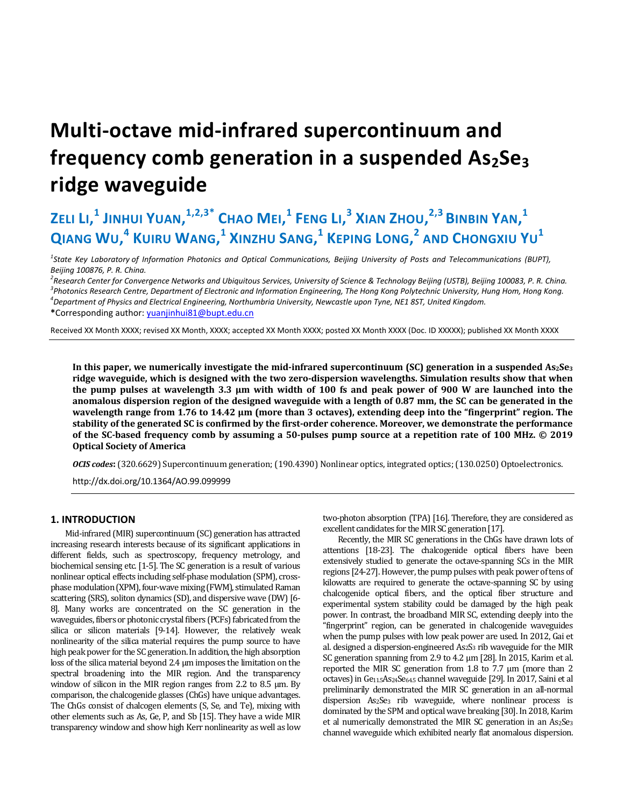# **Multi-octave mid-infrared supercontinuum and**  frequency comb generation in a suspended As<sub>2</sub>Se<sub>3</sub> **ridge waveguide**

# **ZELI LI, <sup>1</sup> JINHUI YUAN, 1,2,3\* CHAO MEI, <sup>1</sup> FENG LI, <sup>3</sup> XIAN ZHOU, 2,3 BINBIN YAN, 1**  $\alpha$  **W 2 A WIRU WANG,<sup>1</sup> <code>XINZHU SANG,<sup>1</sup> <code>KEPING LONG,<sup>2</sup> AND CHONGXIU YU<sup>1</sup>**</code></code>

*1 State Key Laboratory of Information Photonics and Optical Communications, Beijing University of Posts and Telecommunications (BUPT), Beijing 100876, P. R. China.* 

<sup>2</sup> Research Center for Convergence Networks and Ubiquitous Services, University of Science & Technology Beijing (USTB), Beijing 100083, P. R. China.<br><sup>3</sup> Photonics Research Centre, Denartment of Electronic and Information *Photonics Research Centre, Department of Electronic and Information Engineering, The Hong Kong Polytechnic University, Hung Hom, Hong Kong. 4 Department of Physics and Electrical Engineering, Northumbria University, Newcastle upon Tyne, NE1 8ST, United Kingdom.*  **\***Corresponding author: yuanjinhui81@bupt.edu.cn

Received XX Month XXXX; revised XX Month, XXXX; accepted XX Month XXXX; posted XX Month XXXX (Doc. ID XXXXX); published XX Month XXXX

In this paper, we numerically investigate the mid-infrared supercontinuum (SC) generation in a suspended As<sub>2</sub>Se<sub>3</sub> **ridge waveguide, which is designed with the two zero-dispersion wavelengths. Simulation results show that when the pump pulses at wavelength 3.3 µm with width of 100 fs and peak power of 900 W are launched into the anomalous dispersion region of the designed waveguide with a length of 0.87 mm, the SC can be generated in the wavelength range from 1.76 to 14.42 µm (more than 3 octaves), extending deep into the "fingerprint" region. The stability of the generated SC is confirmed by the first-order coherence. Moreover, we demonstrate the performance of the SC-based frequency comb by assuming a 50-pulses pump source at a repetition rate of 100 MHz. © 2019 Optical Society of America** 

*OCIS codes***:** (320.6629) Supercontinuum generation; (190.4390) Nonlinear optics, integrated optics; (130.0250) Optoelectronics.

http://dx.doi.org/10.1364/AO.99.099999

### **1. INTRODUCTION**

Mid-infrared (MIR) supercontinuum (SC) generation has attracted increasing research interests because of its significant applications in different fields, such as spectroscopy, frequency metrology, and biochemical sensing etc. [1-5]. The SC generation is a result of various nonlinear optical effects including self-phase modulation (SPM), crossphase modulation (XPM), four-wave mixing (FWM), stimulated Raman scattering (SRS), soliton dynamics (SD), and dispersive wave (DW) [6- 8]. Many works are concentrated on the SC generation in the waveguides, fibers or photonic crystal fibers (PCFs) fabricated from the silica or silicon materials [9-14]. However, the relatively weak nonlinearity of the silica material requires the pump source to have high peak power for the SC generation. In addition, the high absorption loss of the silica material beyond 2.4 μm imposes the limitation on the spectral broadening into the MIR region. And the transparency window of silicon in the MIR region ranges from 2.2 to 8.5 μm. By comparison, the chalcogenide glasses (ChGs) have unique advantages. The ChGs consist of chalcogen elements (S, Se, and Te), mixing with other elements such as As, Ge, P, and Sb [15]. They have a wide MIR transparency window and show high Kerr nonlinearity as well as low two-photon absorption (TPA) [16]. Therefore, they are considered as excellent candidates for the MIR SC generation [17].

Recently, the MIR SC generations in the ChGs have drawn lots of attentions [18-23]. The chalcogenide optical fibers have been extensively studied to generate the octave-spanning SCs in the MIR regions [24-27]. However, the pump pulses with peak power of tens of kilowatts are required to generate the octave-spanning SC by using chalcogenide optical fibers, and the optical fiber structure and experimental system stability could be damaged by the high peak power. In contrast, the broadband MIR SC, extending deeply into the "fingerprint" region, can be generated in chalcogenide waveguides when the pump pulses with low peak power are used. In 2012, Gai et al. designed a dispersion-engineered As2S3 rib waveguide for the MIR SC generation spanning from 2.9 to 4.2 μm [28]. In 2015, Karim et al. reported the MIR SC generation from 1.8 to 7.7 μm (more than 2 octaves) in Ge<sub>11.5</sub>As<sub>24</sub>Se<sub>64.5</sub> channel waveguide [29]. In 2017, Saini et al preliminarily demonstrated the MIR SC generation in an all-normal dispersion As<sub>2</sub>Se<sub>3</sub> rib waveguide, where nonlinear process is dominated by the SPM and optical wave breaking [30]. In 2018, Karim et al numerically demonstrated the MIR SC generation in an As2Se3 channel waveguide which exhibited nearly flat anomalous dispersion.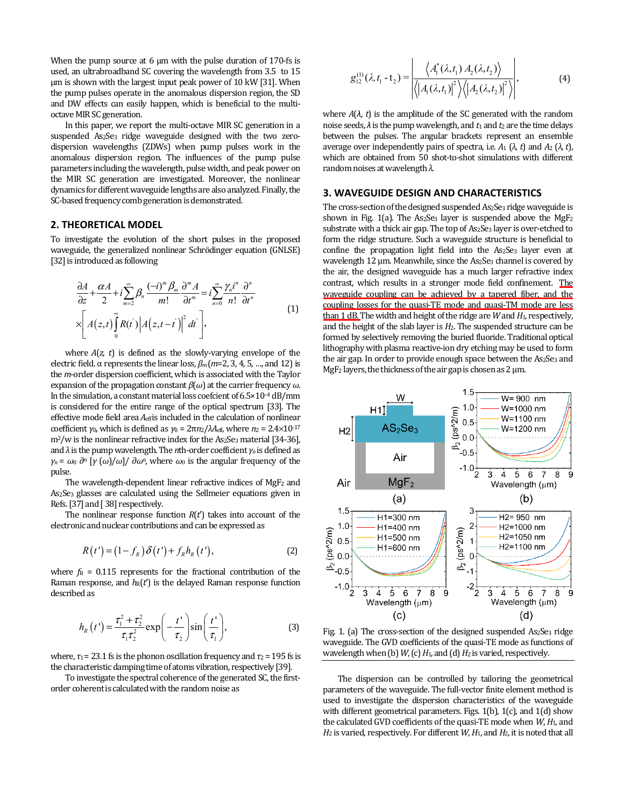When the pump source at 6 μm with the pulse duration of 170-fs is used, an ultrabroadband SC covering the wavelength from 3.5 to 15 μm is shown with the largest input peak power of 10 kW [31]. When the pump pulses operate in the anomalous dispersion region, the SD and DW effects can easily happen, which is beneficial to the multioctave MIR SC generation.

In this paper, we report the multi-octave MIR SC generation in a suspended As2Se3 ridge waveguide designed with the two zerodispersion wavelengths (ZDWs) when pump pulses work in the anomalous dispersion region. The influences of the pump pulse parameters including the wavelength, pulse width, and peak power on the MIR SC generation are investigated. Moreover, the nonlinear dynamics for different waveguide lengths are also analyzed. Finally, the SC-based frequency comb generation is demonstrated.

#### **2. THEORETICAL MODEL**

To investigate the evolution of the short pulses in the proposed waveguide, the generalized nonlinear Schrödinger equation (GNLSE) [32] is introduced as following

$$
\frac{\partial A}{\partial z} + \frac{\alpha A}{2} + i \sum_{m=2}^{\infty} \beta_n \frac{(-i)^m \beta_m}{m!} \frac{\partial^m A}{\partial t^m} = i \sum_{n=0}^{\infty} \frac{\gamma_n i^n}{n!} \frac{\partial^n}{\partial t^n}
$$
\n
$$
\times \left[ A(z,t) \int_0^{\infty} R(t) \left| A(z,t-t') \right|^2 dt \right],
$$
\n(1)

where *A*(*z*, *t*) is defined as the slowly-varying envelope of the electric field. α represents the linear loss, *βm* (*m*=2, 3, 4, 5, …, and 12) is the *m*-order dispersion coefficient, which is associated with the Taylor expansion of the propagation constant *β*(*ω*) at the carrier frequency *ω*. In the simulation, a constant material loss coefcient of 6.5×10–4 dB/mm is considered for the entire range of the optical spectrum [33]. The effective mode field area  $A_{\text{eff}}$  is included in the calculation of nonlinear coefficient *γ*<sub>0</sub>, which is defined as *γ*<sub>0</sub> =  $2πn<sub>2</sub>/λA<sub>eff</sub>$ , where *n*<sub>2</sub> =  $2.4×10<sup>-17</sup>$ m<sup>2</sup>/w is the nonlinear refractive index for the As<sub>2</sub>Se<sub>3</sub> material [34-36], and *λ* is the pump wavelength. The *n*th-order coefficient *γn* is defined as *γ<sup>n</sup>* = *ω*<sup>0</sup> *∂n* [*γ* (*ω*)/*ω*]/ *∂ωn*, where *ω*0 is the angular frequency of the pulse.

The wavelength-dependent linear refractive indices of MgF<sub>2</sub> and As2Se3 glasses are calculated using the Sellmeier equations given in Refs. [37] and [ 38] respectively.

The nonlinear response function *R*(*t*') takes into account of the electronic and nuclear contributions and can be expressed as

$$
R(t') = (1 - f_R) \delta(t') + f_R h_R(t'), \qquad (2)
$$

where  $f_R = 0.115$  represents for the fractional contribution of the Raman response, and  $h_R(t')$  is the delayed Raman response function described as

$$
h_R(t') = \frac{\tau_1^2 + \tau_2^2}{\tau_1 \tau_2^2} \exp\left(-\frac{t'}{\tau_2}\right) \sin\left(\frac{t'}{\tau_1}\right),\tag{3}
$$

where,  $\tau_1$  = 23.1 fs is the phonon oscillation frequency and  $\tau_2$  = 195 fs is the characteristic damping time of atoms vibration, respectively [39].

To investigate the spectral coherence of the generated SC, the firstorder coherent is calculated with the random noise as

$$
g_{12}^{(1)}(\lambda, t_1 - t_2) = \left| \frac{\left\langle A_1^*(\lambda, t_1) A_2(\lambda, t_2) \right\rangle}{\left\langle \left| A_1(\lambda, t_1) \right|^2 \right\rangle \left\langle \left| A_2(\lambda, t_2) \right|^2 \right\rangle},\right| \tag{4}
$$

where  $A(\lambda, t)$  is the amplitude of the SC generated with the random noise seeds,  $\lambda$  is the pump wavelength, and  $t_1$  and  $t_2$  are the time delays between the pulses. The angular brackets represent an ensemble average over independently pairs of spectra, i.e.  $A_1$  (λ, *t*) and  $A_2$  (λ, *t*), which are obtained from 50 shot-to-shot simulations with different random noises at wavelength *λ*.

#### **3. WAVEGUIDE DESIGN AND CHARACTERISTICS**

The cross-section of the designed suspended As<sub>2</sub>Se<sub>3</sub> ridge waveguide is shown in Fig. 1(a). The As<sub>2</sub>Se<sub>3</sub> layer is suspended above the MgF<sub>2</sub> substrate with a thick air gap. The top of As<sub>2</sub>Se<sub>3</sub> layer is over-etched to form the ridge structure. Such a waveguide structure is beneficial to confine the propagation light field into the As<sub>2</sub>Se<sub>3</sub> layer even at wavelength 12 μm. Meanwhile, since the As<sub>2</sub>Se<sub>3</sub> channel is covered by the air, the designed waveguide has a much larger refractive index contrast, which results in a stronger mode field confinement. The waveguide coupling can be achieved by a tapered fiber, and the coupling losses for the quasi-TE mode and quasi-TM mode are less than 1 dB. The width and height of the ridge are *W* and *H*1, respectively, and the height of the slab layer is *H*2. The suspended structure can be formed by selectively removing the buried fluoride. Traditional optical lithography with plasma reactive-ion dry etching may be used to form the air gap. In order to provide enough space between the As2Se3 and MgF2 layers, the thickness of the air gap is chosen as 2 μm.



Fig. 1. (a) The cross-section of the designed suspended As<sub>2</sub>Se<sub>3</sub> ridge waveguide. The GVD coefficients of the quasi-TE mode as functions of wavelength when (b)  $W$ , (c)  $H_1$ , and (d)  $H_2$  is varied, respectively.

The dispersion can be controlled by tailoring the geometrical parameters of the waveguide. The full-vector finite element method is used to investigate the dispersion characteristics of the waveguide with different geometrical parameters. Figs. 1(b), 1(c), and 1(d) show the calculated GVD coefficients of the quasi-TE mode when *W*, *H*1, and *H*2 is varied, respectively. For different *W*, *H*1, and *H*2, it is noted that all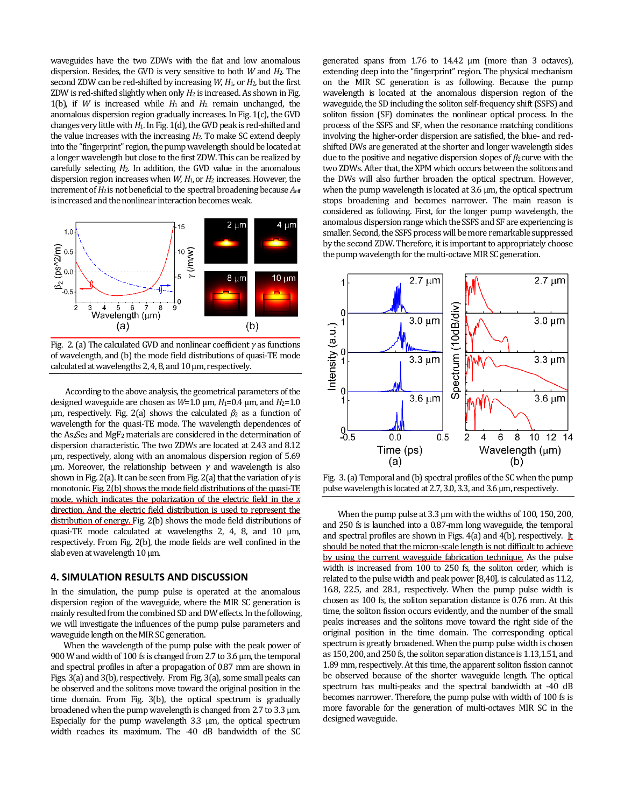waveguides have the two ZDWs with the flat and low anomalous dispersion. Besides, the GVD is very sensitive to both *W* and *H*2. The second ZDW can be red-shifted by increasing *W*, *H*1, or *H*2, but the first ZDW is red-shifted slightly when only *H*2 is increased. As shown in Fig. 1(b), if *W* is increased while *H*1 and *H*2 remain unchanged, the anomalous dispersion region gradually increases. In Fig. 1(c), the GVD changes very little with *H*1. In Fig. 1(d), the GVD peak is red-shifted and the value increases with the increasing *H*2. To make SC extend deeply into the "fingerprint" region, the pump wavelength should be located at a longer wavelength but close to the first ZDW. This can be realized by carefully selecting *H*2. In addition, the GVD value in the anomalous dispersion region increases when *W*, *H*1,or *H*2 increases. However, the increment of  $H_2$  is not beneficial to the spectral broadening because  $A_{\text{eff}}$ is increased and the nonlinear interaction becomes weak.



Fig. 2. (a) The calculated GVD and nonlinear coefficient *γ* as functions of wavelength, and (b) the mode field distributions of quasi-TE mode calculated at wavelengths 2, 4, 8, and 10 μm, respectively.

According to the above analysis, the geometrical parameters of the designed waveguide are chosen as *W*=1.0 μm, *H*1=0.4 μm, and *H*2=1.0 μm, respectively. Fig. 2(a) shows the calculated  $β_2$  as a function of wavelength for the quasi-TE mode. The wavelength dependences of the As2Se3 and MgF2 materials are considered in the determination of dispersion characteristic. The two ZDWs are located at 2.43 and 8.12 μm, respectively, along with an anomalous dispersion region of 5.69 μm. Moreover, the relationship between *γ* and wavelength is also shown in Fig. 2(a). It can be seen from Fig. 2(a) that the variation of*γ* is monotonic. Fig. 2(b) shows the mode field distributions of the quasi-TE mode, which indicates the polarization of the electric field in the *x* direction. And the electric field distribution is used to represent the distribution of energy. Fig. 2(b) shows the mode field distributions of quasi-TE mode calculated at wavelengths 2, 4, 8, and 10 μm, respectively. From Fig. 2(b), the mode fields are well confined in the slab even at wavelength 10 μm.

## **4. SIMULATION RESULTS AND DISCUSSION**

In the simulation, the pump pulse is operated at the anomalous dispersion region of the waveguide, where the MIR SC generation is mainly resulted from the combined SD and DW effects. In the following, we will investigate the influences of the pump pulse parameters and waveguide length on the MIR SC generation.

When the wavelength of the pump pulse with the peak power of 900 W and width of 100 fs is changed from 2.7 to 3.6 μm, the temporal and spectral profiles in after a propagation of 0.87 mm are shown in Figs. 3(a) and 3(b), respectively. From Fig. 3(a), some small peaks can be observed and the solitons move toward the original position in the time domain. From Fig. 3(b), the optical spectrum is gradually broadened when the pump wavelength is changed from 2.7 to 3.3 μm. Especially for the pump wavelength 3.3 μm, the optical spectrum width reaches its maximum. The *-*40 dB bandwidth of the SC

generated spans from 1.76 to 14.42 μm (more than 3 octaves), extending deep into the "fingerprint" region. The physical mechanism on the MIR SC generation is as following. Because the pump wavelength is located at the anomalous dispersion region of the waveguide, the SD including the soliton self-frequency shift (SSFS) and soliton fission (SF) dominates the nonlinear optical process. In the process of the SSFS and SF, when the resonance matching conditions involving the higher-order dispersion are satisfied, the blue- and redshifted DWs are generated at the shorter and longer wavelength sides due to the positive and negative dispersion slopes of *β*2 curve with the two ZDWs. After that, the XPM which occurs between the solitons and the DWs will also further broaden the optical spectrum. However, when the pump wavelength is located at 3.6 μm, the optical spectrum stops broadening and becomes narrower. The main reason is considered as following. First, for the longer pump wavelength, the anomalous dispersion range which the SSFS and SF are experiencing is smaller. Second, the SSFS process will be more remarkable suppressed by the second ZDW. Therefore, it is important to appropriately choose the pump wavelength for the multi-octave MIR SC generation.



Fig. 3. (a) Temporal and (b) spectral profiles of the SC when the pump pulse wavelength is located at 2.7, 3.0, 3.3, and 3.6 μm, respectively.

When the pump pulse at 3.3 μm with the widths of 100, 150, 200, and 250 fs is launched into a 0.87-mm long waveguide, the temporal and spectral profiles are shown in Figs. 4(a) and 4(b), respectively. It should be noted that the micron-scale length is not difficult to achieve by using the current waveguide fabrication technique. As the pulse width is increased from 100 to 250 fs, the soliton order, which is related to the pulse width and peak power [8,40], is calculated as 11.2, 16.8, 22.5, and 28.1, respectively. When the pump pulse width is chosen as 100 fs, the soliton separation distance is 0.76 mm. At this time, the soliton fission occurs evidently, and the number of the small peaks increases and the solitons move toward the right side of the original position in the time domain. The corresponding optical spectrum is greatly broadened. When the pump pulse width is chosen as 150, 200, and 250 fs, the soliton separation distance is 1.13,1.51, and 1.89 mm, respectively. At this time, the apparent soliton fission cannot be observed because of the shorter waveguide length. The optical spectrum has multi-peaks and the spectral bandwidth at -40 dB becomes narrower. Therefore, the pump pulse with width of 100 fs is more favorable for the generation of multi-octaves MIR SC in the designed waveguide.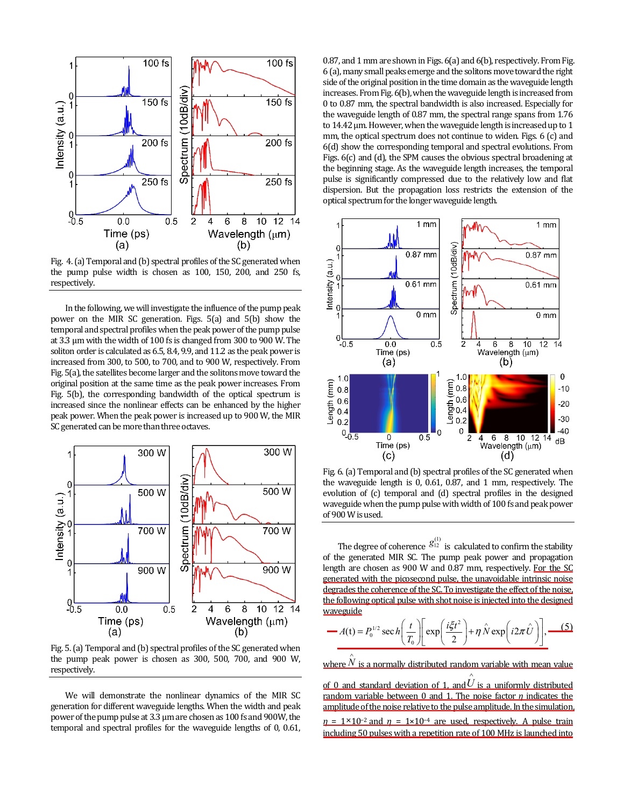

Fig. 4. (a) Temporal and (b) spectral profiles of the SC generated when the pump pulse width is chosen as 100, 150, 200, and 250 fs, respectively.

In the following, we will investigate the influence of the pump peak power on the MIR SC generation. Figs. 5(a) and 5(b) show the temporal and spectral profiles when the peak power of the pump pulse at 3.3 μm with the width of 100 fs is changed from 300 to 900 W. The soliton order is calculated as 6.5, 8.4, 9.9, and 11.2 as the peak power is increased from 300, to 500, to 700, and to 900 W, respectively. From Fig. 5(a), the satellites become larger and the solitons move toward the original position at the same time as the peak power increases. From Fig. 5(b), the corresponding bandwidth of the optical spectrum is increased since the nonlinear effects can be enhanced by the higher peak power. When the peak power is increased up to 900 W, the MIR SC generated can be more than three octaves.



Fig. 5. (a) Temporal and (b) spectral profiles of the SC generated when the pump peak power is chosen as 300, 500, 700, and 900 W, respectively.

We will demonstrate the nonlinear dynamics of the MIR SC generation for different waveguide lengths. When the width and peak power of the pump pulse at 3.3 μm are chosen as 100 fs and 900W, the temporal and spectral profiles for the waveguide lengths of 0, 0.61,

0.87, and 1 mm are shown in Figs. 6(a) and 6(b), respectively. From Fig. 6 (a), many small peaks emerge and the solitons move toward the right side of the original position in the time domain as the waveguide length increases. From Fig. 6(b), when the waveguide length is increased from 0 to 0.87 mm, the spectral bandwidth is also increased. Especially for the waveguide length of 0.87 mm, the spectral range spans from 1.76 to 14.42 μm. However, when the waveguide length is increased up to 1 mm, the optical spectrum does not continue to widen. Figs. 6 (c) and 6(d) show the corresponding temporal and spectral evolutions. From Figs. 6(c) and (d), the SPM causes the obvious spectral broadening at the beginning stage. As the waveguide length increases, the temporal pulse is significantly compressed due to the relatively low and flat dispersion. But the propagation loss restricts the extension of the optical spectrum for the longer waveguide length.



Fig. 6. (a) Temporal and (b) spectral profiles of the SC generated when the waveguide length is 0, 0.61, 0.87, and 1 mm, respectively. The evolution of (c) temporal and (d) spectral profiles in the designed waveguide when the pump pulse with width of 100 fs and peak power of 900 W is used.

The degree of coherence  $g_{12}^{(1)}$  is calculated to confirm the stability of the generated MIR SC. The pump peak power and propagation length are chosen as 900 W and 0.87 mm, respectively. For the SC generated with the picosecond pulse, the unavoidable intrinsic noise degrades the coherence of the SC. To investigate the effect of the noise, the following optical pulse with shot noise is injected into the designed waveguide

$$
-A(t) = P_0^{1/2} \sec h \left(\frac{t}{T_0}\right) \left[\exp\left(\frac{i\xi t^2}{2}\right) + \eta \hat{N} \exp\left(i2\pi \hat{U}\right)\right], \quad (5)
$$

where  $\hat{\hat{N}}$  is a normally distributed random variable with mean value

of 0 and standard deviation of 1, and  $\hat{U}$ is a uniformly distributed random variable between 0 and 1. The noise factor *η* indicates the amplitude of the noise relative to the pulse amplitude. In the simulation,  $n = 1 \times 10^{-2}$  and  $n = 1 \times 10^{-4}$  are used, respectively. A pulse train including 50 pulses with a repetition rate of 100 MHz is launched into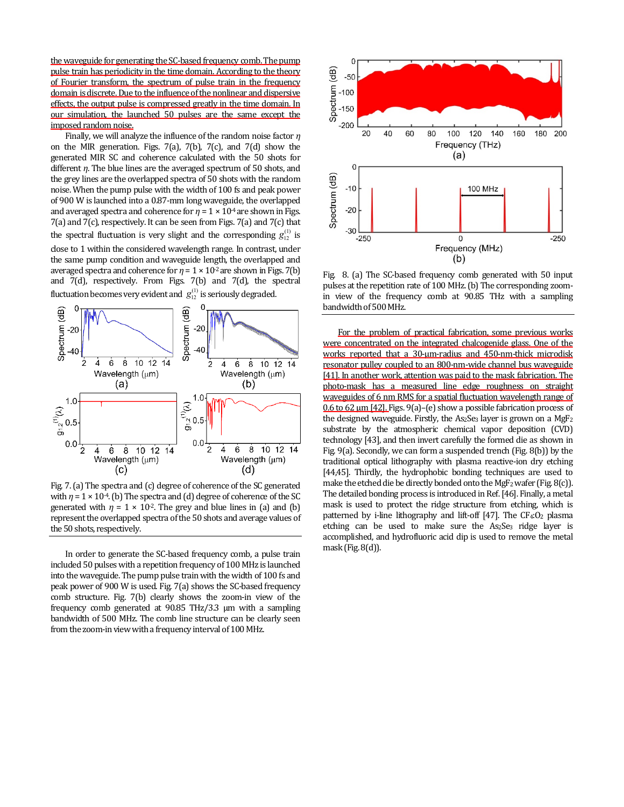the waveguide for generating the SC-based frequency comb. The pump pulse train has periodicity in the time domain. According to the theory of Fourier transform, the spectrum of pulse train in the frequency domain is discrete. Due to the influence of the nonlinear and dispersive effects, the output pulse is compressed greatly in the time domain. In our simulation, the launched 50 pulses are the same except the imposed random noise.

Finally, we will analyze the influence of the random noise factor *η* on the MIR generation. Figs. 7(a), 7(b), 7(c), and 7(d) show the generated MIR SC and coherence calculated with the 50 shots for different *η*. The blue lines are the averaged spectrum of 50 shots, and the grey lines are the overlapped spectra of 50 shots with the random noise. When the pump pulse with the width of 100 fs and peak power of 900 W is launched into a 0.87-mm long waveguide, the overlapped and averaged spectra and coherence for  $\eta = 1 \times 10^{4}$  are shown in Figs. 7(a) and 7(c), respectively. It can be seen from Figs. 7(a) and 7(c) that the spectral fluctuation is very slight and the corresponding  $g_{12}^{(1)}$  is close to 1 within the considered wavelength range. In contrast, under the same pump condition and waveguide length, the overlapped and averaged spectra and coherence for  $\eta = 1 \times 10^{-2}$  are shown in Figs. 7(b) and 7(d), respectively. From Figs. 7(b) and 7(d), the spectral fluctuation becomes very evident and  $\,g_{12}^{(1)}$  is seriously degraded.



Fig. 7. (a) The spectra and (c) degree of coherence of the SC generated with  $\eta = 1 \times 10^{-4}$ . (b) The spectra and (d) degree of coherence of the SC generated with  $\eta = 1 \times 10^{-2}$ . The grey and blue lines in (a) and (b) represent the overlapped spectra of the 50 shots and average values of the 50 shots, respectively.

In order to generate the SC-based frequency comb, a pulse train included 50 pulses with a repetition frequency of 100 MHz is launched into the waveguide. The pump pulse train with the width of 100 fs and peak power of 900 W is used. Fig. 7(a) shows the SC-based frequency comb structure. Fig. 7(b) clearly shows the zoom-in view of the frequency comb generated at 90.85 THz/3.3 μm with a sampling bandwidth of 500 MHz. The comb line structure can be clearly seen from the zoom-in view with a frequency interval of 100 MHz.



Fig. 8. (a) The SC-based frequency comb generated with 50 input pulses at the repetition rate of 100 MHz. (b) The corresponding zoomin view of the frequency comb at 90.85 THz with a sampling bandwidth of 500 MHz.

For the problem of practical fabrication, some previous works were concentrated on the integrated chalcogenide glass. One of the works reported that a 30-μm-radius and 450-nm-thick microdisk resonator pulley coupled to an 800-nm-wide channel bus waveguide [41]. In another work, attention was paid to the mask fabrication. The photo-mask has a measured line edge roughness on straight waveguides of 6 nm RMS for a spatial fluctuation wavelength range of 0.6 to 62 μm [42]. Figs. 9(a)–(e) show a possible fabrication process of the designed waveguide. Firstly, the  $As<sub>2</sub>Se<sub>3</sub>$  layer is grown on a MgF<sub>2</sub> substrate by the atmospheric chemical vapor deposition (CVD) technology [43], and then invert carefully the formed die as shown in Fig. 9(a). Secondly, we can form a suspended trench (Fig. 8(b)) by the traditional optical lithography with plasma reactive-ion dry etching [44,45]. Thirdly, the hydrophobic bonding techniques are used to make the etched die be directly bonded onto the MgF2 wafer (Fig. 8(c)). The detailed bonding process is introduced in Ref. [46]. Finally, a metal mask is used to protect the ridge structure from etching, which is patterned by i-line lithography and lift-off  $[47]$ . The CF<sub>4</sub>:O<sub>2</sub> plasma etching can be used to make sure the As<sub>2</sub>Se<sub>3</sub> ridge layer is accomplished, and hydrofluoric acid dip is used to remove the metal mask (Fig. 8(d)).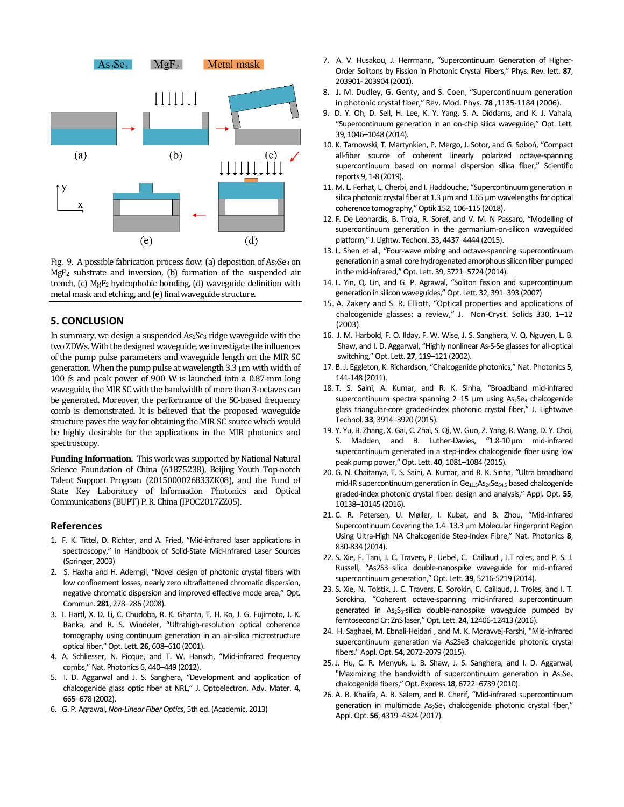

Fig. 9. A possible fabrication process flow: (a) deposition of As2Se3 on MgF2 substrate and inversion, (b) formation of the suspended air trench, (c) MgF2 hydrophobic bonding, (d) waveguide definition with metal mask and etching, and (e) final waveguide structure.

#### **5. CONCLUSION**

In summary, we design a suspended As2Se3 ridge waveguide with the two ZDWs. With the designed waveguide, we investigate the influences of the pump pulse parameters and waveguide length on the MIR SC generation. When the pump pulse at wavelength 3.3 µm with width of 100 fs and peak power of 900 W is launched into a 0.87-mm long waveguide, the MIR SC with the bandwidth of more than 3-octaves can be generated. Moreover, the performance of the SC-based frequency comb is demonstrated. It is believed that the proposed waveguide structure paves the way for obtaining the MIR SC source which would be highly desirable for the applications in the MIR photonics and spectroscopy.

**Funding Information.** This work was supported by National Natural Science Foundation of China (61875238), Beijing Youth Top-notch Talent Support Program (2015000026833ZK08), and the Fund of State Key Laboratory of Information Photonics and Optical Communications (BUPT) P. R. China (IPOC2017ZZ05).

#### **References**

- 1. F. K. Tittel, D. Richter, and A. Fried, "Mid-infrared laser applications in spectroscopy," in Handbook of Solid-State Mid-Infrared Laser Sources (Springer, 2003)
- 2. S. Haxha and H. Ademgil, "Novel design of photonic crystal fibers with low confinement losses, nearly zero ultraflattened chromatic dispersion, negative chromatic dispersion and improved effective mode area," Opt. Commun. **281**, 278–286 (2008).
- 3. I. Hartl, X. D. Li, C. Chudoba, R. K. Ghanta, T. H. Ko, J. G. Fujimoto, J. K. Ranka, and R. S. Windeler, "Ultrahigh-resolution optical coherence tomography using continuum generation in an air-silica microstructure optical fiber," Opt. Lett. **26**, 608–610 (2001).
- 4. A. Schliesser, N. Picque, and T. W. Hansch, "Mid-infrared frequency combs," Nat. Photonics 6, 440–449 (2012).
- 5. I. D. Aggarwal and J. S. Sanghera, "Development and application of chalcogenide glass optic fiber at NRL," J. Optoelectron. Adv. Mater. **4**, 665–678 (2002).
- 6. G. P. Agrawal, *Non-Linear Fiber Optics*, 5th ed. (Academic, 2013)
- 7. A. V. Husakou, J. Herrmann, "Supercontinuum Generation of Higher-Order Solitons by Fission in Photonic Crystal Fibers," Phys. Rev. lett. **87**, 203901- 203904 (2001).
- 8. J. M. Dudley, G. Genty, and S. Coen, "Supercontinuum generation in photonic crystal fiber," Rev. Mod. Phys. **78** ,1135-1184 (2006).
- 9. D. Y. Oh, D. Sell, H. Lee, K. Y. Yang, S. A. Diddams, and K. J. Vahala, "Supercontinuum generation in an on-chip silica waveguide," Opt. Lett. 39, 1046–1048 (2014).
- 10. K. Tarnowski, T. Martynkien, P. Mergo, J. Sotor, and G. Soboń, "Compact all-fiber source of coherent linearly polarized octave-spanning supercontinuum based on normal dispersion silica fiber," Scientific reports 9, 1-8 (2019).
- 11. M. L. Ferhat, L. Cherbi, and I. Haddouche, "Supercontinuum generation in silica photonic crystal fiber at 1.3 μm and 1.65 μm wavelengths for optical coherence tomography," Optik 152, 106-115 (2018).
- 12. F. De Leonardis, B. Troia, R. Soref, and V. M. N Passaro, "Modelling of supercontinuum generation in the germanium-on-silicon waveguided platform," J. Lightw. Techonl. 33, 4437–4444 (2015).
- 13. L. Shen et al., "Four-wave mixing and octave-spanning supercontinuum generation in a small core hydrogenated amorphous silicon fiber pumped in the mid-infrared," Opt. Lett. 39, 5721–5724 (2014).
- 14. L. Yin, Q. Lin, and G. P. Agrawal, "Soliton fission and supercontinuum generation in silicon waveguides," Opt. Lett. 32, 391–393 (2007)
- 15. A. Zakery and S. R. Elliott, "Optical properties and applications of chalcogenide glasses: a review," J. Non-Cryst. Solids 330, 1–12 (2003).
- 16. J. M. Harbold, F. O. Ilday, F. W. Wise, J. S. Sanghera, V. Q. Nguyen, L. B. Shaw, and I. D. Aggarwal, "Highly nonlinear As-S-Se glasses for all-optical switching," Opt. Lett. **27**, 119–121 (2002).
- 17. B. J. Eggleton, K. Richardson, "Chalcogenide photonics," Nat. Photonics **5**, 141-148 (2011).
- 18. T. S. Saini, A. Kumar, and R. K. Sinha, "Broadband mid-infrared supercontinuum spectra spanning  $2-15$  µm using  $As<sub>2</sub>Se<sub>3</sub>$  chalcogenide glass triangular-core graded-index photonic crystal fiber," J. Lightwave Technol. **33**, 3914–3920 (2015).
- 19. Y. Yu, B. Zhang, X. Gai, C. Zhai, S. Qi, W. Guo, Z. Yang, R. Wang, D. Y. Choi, S. Madden, and B. Luther-Davies, "1.8-10 μm mid-infrared supercontinuum generated in a step-index chalcogenide fiber using low peak pump power," Opt. Lett. **40**, 1081–1084 (2015).
- 20. G. N. Chaitanya, T. S. Saini, A. Kumar, and R. K. Sinha, "Ultra broadband mid-IR supercontinuum generation in  $Ge<sub>11.5</sub>As<sub>24</sub>Se<sub>64.5</sub>$  based chalcogenide graded-index photonic crystal fiber: design and analysis," Appl. Opt. **55**, 10138–10145 (2016).
- 21. C. R. Petersen, U. Møller, I. Kubat, and B. Zhou, "Mid-Infrared Supercontinuum Covering the 1.4–13.3 μm Molecular Fingerprint Region Using Ultra-High NA Chalcogenide Step-Index Fibre," Nat. Photonics **8**, 830-834 (2014).
- 22. S. Xie, F. Tani, J. C. Travers, P. Uebel, C. Caillaud , J.T roles, and P. S. J. Russell, "As2S3–silica double-nanospike waveguide for mid-infrared supercontinuum generation," Opt. Lett. **39**, 5216-5219 (2014).
- 23. S. Xie, N. Tolstik, J. C. Travers, E. Sorokin, C. Caillaud, J. Troles, and I. T. Sorokina, "Coherent octave-spanning mid-infrared supercontinuum generated in  $As_2S_3$ -silica double-nanospike waveguide pumped by femtosecond Cr: ZnS laser," Opt. Lett. **24**, 12406-12413 (2016).
- 24. H. Saghaei, M. Ebnali-Heidari , and M. K. Moravvej-Farshi, "Mid-infrared supercontinuum generation via As2Se3 chalcogenide photonic crystal fibers." Appl. Opt. **54**, 2072-2079 (2015).
- 25. J. Hu, C. R. Menyuk, L. B. Shaw, J. S. Sanghera, and I. D. Aggarwal, "Maximizing the bandwidth of supercontinuum generation in  $As<sub>2</sub>Se<sub>3</sub>$ chalcogenide fibers," Opt. Express **18**, 6722–6739 (2010).
- 26. A. B. Khalifa, A. B. Salem, and R. Cherif, "Mid-infrared supercontinuum generation in multimode  $As_2Se_3$  chalcogenide photonic crystal fiber," Appl. Opt. **56**, 4319–4324 (2017).